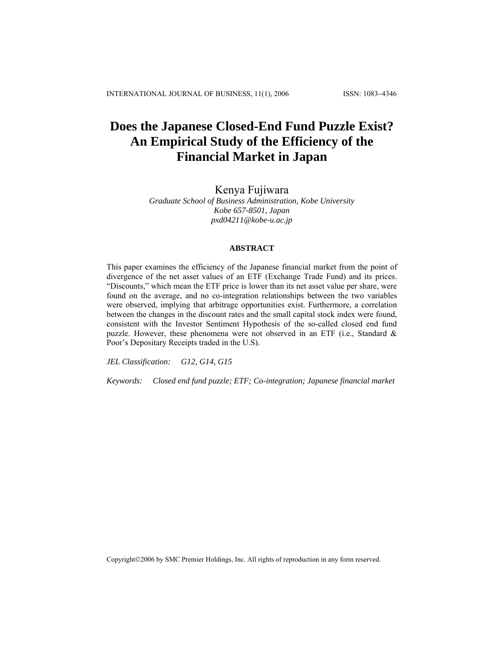# **Does the Japanese Closed-End Fund Puzzle Exist? An Empirical Study of the Efficiency of the Financial Market in Japan**

## Kenya Fujiwara

*Graduate School of Business Administration, Kobe University Kobe 657-8501, Japan pxd04211@kobe-u.ac.jp*

## **ABSTRACT**

This paper examines the efficiency of the Japanese financial market from the point of divergence of the net asset values of an ETF (Exchange Trade Fund) and its prices. "Discounts," which mean the ETF price is lower than its net asset value per share, were found on the average, and no co-integration relationships between the two variables were observed, implying that arbitrage opportunities exist. Furthermore, a correlation between the changes in the discount rates and the small capital stock index were found, consistent with the Investor Sentiment Hypothesis of the so-called closed end fund puzzle. However, these phenomena were not observed in an ETF (i.e., Standard & Poor's Depositary Receipts traded in the U.S).

*JEL Classification: G12, G14, G15*

*Keywords: Closed end fund puzzle; ETF; Co-integration; Japanese financial market*

Copyright©2006 by SMC Premier Holdings, Inc. All rights of reproduction in any form reserved.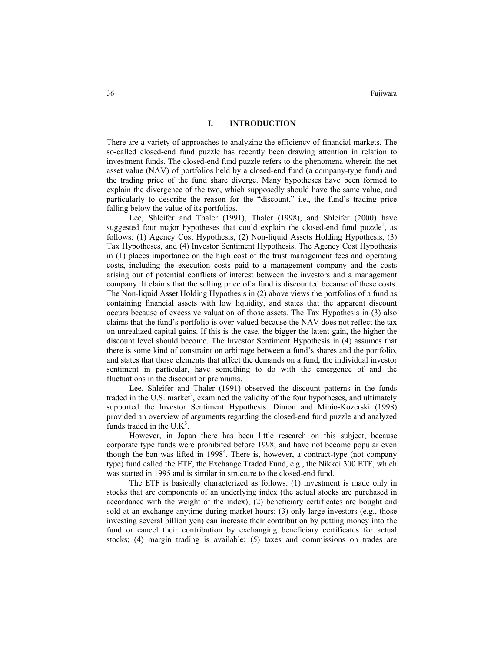### **I. INTRODUCTION**

There are a variety of approaches to analyzing the efficiency of financial markets. The so-called closed-end fund puzzle has recently been drawing attention in relation to investment funds. The closed-end fund puzzle refers to the phenomena wherein the net asset value (NAV) of portfolios held by a closed-end fund (a company-type fund) and the trading price of the fund share diverge. Many hypotheses have been formed to explain the divergence of the two, which supposedly should have the same value, and particularly to describe the reason for the "discount," i.e., the fund's trading price falling below the value of its portfolios.

Lee, Shleifer and Thaler (1991), Thaler (1998), and Shleifer (2000) have suggested four major hypotheses that could explain the closed-end fund puzzle<sup>1</sup>, as follows: (1) Agency Cost Hypothesis, (2) Non-liquid Assets Holding Hypothesis, (3) Tax Hypotheses, and (4) Investor Sentiment Hypothesis. The Agency Cost Hypothesis in (1) places importance on the high cost of the trust management fees and operating costs, including the execution costs paid to a management company and the costs arising out of potential conflicts of interest between the investors and a management company. It claims that the selling price of a fund is discounted because of these costs. The Non-liquid Asset Holding Hypothesis in (2) above views the portfolios of a fund as containing financial assets with low liquidity, and states that the apparent discount occurs because of excessive valuation of those assets. The Tax Hypothesis in (3) also claims that the fund's portfolio is over-valued because the NAV does not reflect the tax on unrealized capital gains. If this is the case, the bigger the latent gain, the higher the discount level should become. The Investor Sentiment Hypothesis in (4) assumes that there is some kind of constraint on arbitrage between a fund's shares and the portfolio, and states that those elements that affect the demands on a fund, the individual investor sentiment in particular, have something to do with the emergence of and the fluctuations in the discount or premiums.

Lee, Shleifer and Thaler (1991) observed the discount patterns in the funds traded in the U.S. market<sup>2</sup>, examined the validity of the four hypotheses, and ultimately supported the Investor Sentiment Hypothesis. Dimon and Minio-Kozerski (1998) provided an overview of arguments regarding the closed-end fund puzzle and analyzed funds traded in the  $U.K^3$ .

However, in Japan there has been little research on this subject, because corporate type funds were prohibited before 1998, and have not become popular even though the ban was lifted in 1998<sup>4</sup>. There is, however, a contract-type (not company type) fund called the ETF, the Exchange Traded Fund, e.g., the Nikkei 300 ETF, which was started in 1995 and is similar in structure to the closed-end fund.

The ETF is basically characterized as follows: (1) investment is made only in stocks that are components of an underlying index (the actual stocks are purchased in accordance with the weight of the index); (2) beneficiary certificates are bought and sold at an exchange anytime during market hours; (3) only large investors (e.g., those investing several billion yen) can increase their contribution by putting money into the fund or cancel their contribution by exchanging beneficiary certificates for actual stocks; (4) margin trading is available; (5) taxes and commissions on trades are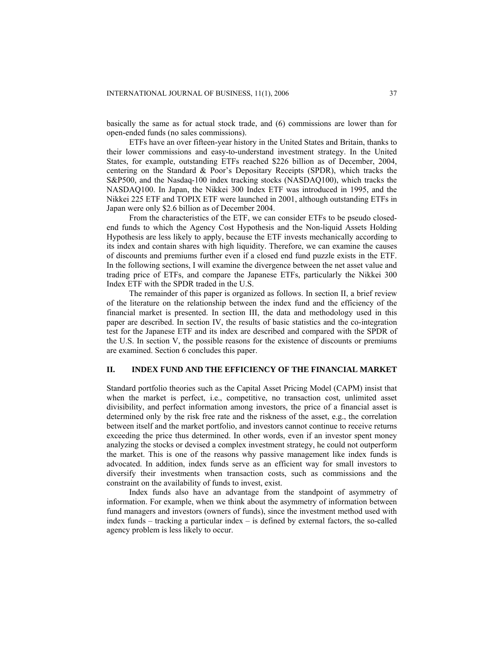basically the same as for actual stock trade, and (6) commissions are lower than for open-ended funds (no sales commissions).

ETFs have an over fifteen-year history in the United States and Britain, thanks to their lower commissions and easy-to-understand investment strategy. In the United States, for example, outstanding ETFs reached \$226 billion as of December, 2004, centering on the Standard & Poor's Depositary Receipts (SPDR), which tracks the S&P500, and the Nasdaq-100 index tracking stocks (NASDAQ100), which tracks the NASDAQ100. In Japan, the Nikkei 300 Index ETF was introduced in 1995, and the Nikkei 225 ETF and TOPIX ETF were launched in 2001, although outstanding ETFs in Japan were only \$2.6 billion as of December 2004.

From the characteristics of the ETF, we can consider ETFs to be pseudo closedend funds to which the Agency Cost Hypothesis and the Non-liquid Assets Holding Hypothesis are less likely to apply, because the ETF invests mechanically according to its index and contain shares with high liquidity. Therefore, we can examine the causes of discounts and premiums further even if a closed end fund puzzle exists in the ETF. In the following sections, I will examine the divergence between the net asset value and trading price of ETFs, and compare the Japanese ETFs, particularly the Nikkei 300 Index ETF with the SPDR traded in the U.S.

The remainder of this paper is organized as follows. In section II, a brief review of the literature on the relationship between the index fund and the efficiency of the financial market is presented. In section III, the data and methodology used in this paper are described. In section IV, the results of basic statistics and the co-integration test for the Japanese ETF and its index are described and compared with the SPDR of the U.S. In section V, the possible reasons for the existence of discounts or premiums are examined. Section 6 concludes this paper.

#### **II. INDEX FUND AND THE EFFICIENCY OF THE FINANCIAL MARKET**

Standard portfolio theories such as the Capital Asset Pricing Model (CAPM) insist that when the market is perfect, i.e., competitive, no transaction cost, unlimited asset divisibility, and perfect information among investors, the price of a financial asset is determined only by the risk free rate and the riskness of the asset, e.g., the correlation between itself and the market portfolio, and investors cannot continue to receive returns exceeding the price thus determined. In other words, even if an investor spent money analyzing the stocks or devised a complex investment strategy, he could not outperform the market. This is one of the reasons why passive management like index funds is advocated. In addition, index funds serve as an efficient way for small investors to diversify their investments when transaction costs, such as commissions and the constraint on the availability of funds to invest, exist.

Index funds also have an advantage from the standpoint of asymmetry of information. For example, when we think about the asymmetry of information between fund managers and investors (owners of funds), since the investment method used with index funds – tracking a particular index – is defined by external factors, the so-called agency problem is less likely to occur.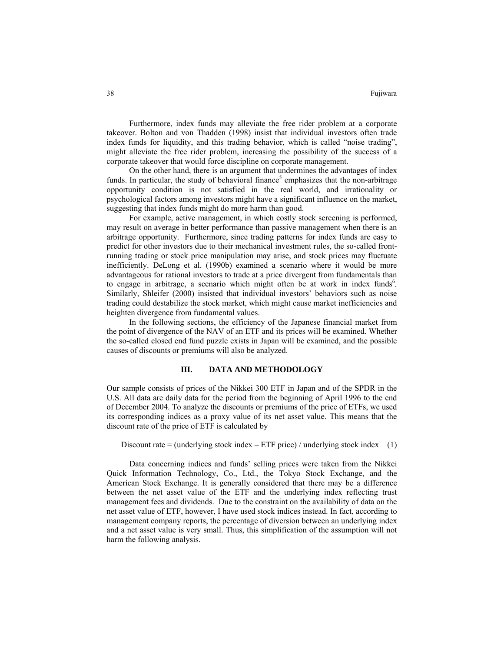Furthermore, index funds may alleviate the free rider problem at a corporate takeover. Bolton and von Thadden (1998) insist that individual investors often trade index funds for liquidity, and this trading behavior, which is called "noise trading", might alleviate the free rider problem, increasing the possibility of the success of a corporate takeover that would force discipline on corporate management.

On the other hand, there is an argument that undermines the advantages of index funds. In particular, the study of behavioral finance<sup>5</sup> emphasizes that the non-arbitrage opportunity condition is not satisfied in the real world, and irrationality or psychological factors among investors might have a significant influence on the market, suggesting that index funds might do more harm than good.

For example, active management, in which costly stock screening is performed, may result on average in better performance than passive management when there is an arbitrage opportunity. Furthermore, since trading patterns for index funds are easy to predict for other investors due to their mechanical investment rules, the so-called frontrunning trading or stock price manipulation may arise, and stock prices may fluctuate inefficiently. DeLong et al. (1990b) examined a scenario where it would be more advantageous for rational investors to trade at a price divergent from fundamentals than to engage in arbitrage, a scenario which might often be at work in index funds<sup>6</sup>. Similarly, Shleifer (2000) insisted that individual investors' behaviors such as noise trading could destabilize the stock market, which might cause market inefficiencies and heighten divergence from fundamental values.

In the following sections, the efficiency of the Japanese financial market from the point of divergence of the NAV of an ETF and its prices will be examined. Whether the so-called closed end fund puzzle exists in Japan will be examined, and the possible causes of discounts or premiums will also be analyzed.

#### **III. DATA AND METHODOLOGY**

Our sample consists of prices of the Nikkei 300 ETF in Japan and of the SPDR in the U.S. All data are daily data for the period from the beginning of April 1996 to the end of December 2004. To analyze the discounts or premiums of the price of ETFs, we used its corresponding indices as a proxy value of its net asset value. This means that the discount rate of the price of ETF is calculated by

Discount rate = (underlying stock index  $-$  ETF price) / underlying stock index (1)

 Data concerning indices and funds' selling prices were taken from the Nikkei Quick Information Technology, Co., Ltd., the Tokyo Stock Exchange, and the American Stock Exchange. It is generally considered that there may be a difference between the net asset value of the ETF and the underlying index reflecting trust management fees and dividends. Due to the constraint on the availability of data on the net asset value of ETF, however, I have used stock indices instead. In fact, according to management company reports, the percentage of diversion between an underlying index and a net asset value is very small. Thus, this simplification of the assumption will not harm the following analysis.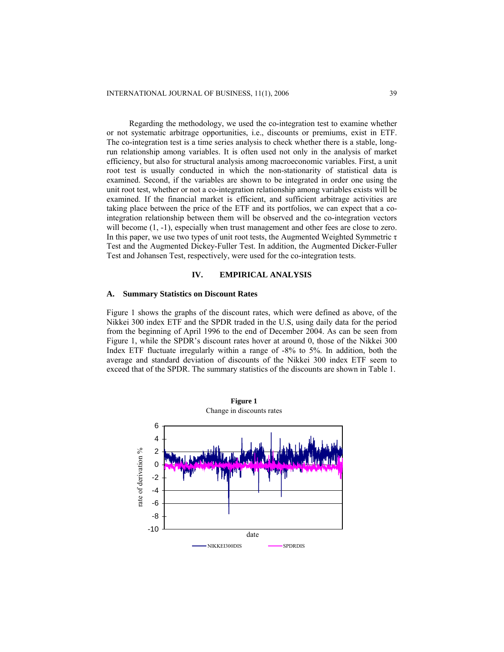Regarding the methodology, we used the co-integration test to examine whether or not systematic arbitrage opportunities, i.e., discounts or premiums, exist in ETF. The co-integration test is a time series analysis to check whether there is a stable, longrun relationship among variables. It is often used not only in the analysis of market efficiency, but also for structural analysis among macroeconomic variables. First, a unit root test is usually conducted in which the non-stationarity of statistical data is examined. Second, if the variables are shown to be integrated in order one using the unit root test, whether or not a co-integration relationship among variables exists will be examined. If the financial market is efficient, and sufficient arbitrage activities are taking place between the price of the ETF and its portfolios, we can expect that a cointegration relationship between them will be observed and the co-integration vectors will become  $(1, -1)$ , especially when trust management and other fees are close to zero. In this paper, we use two types of unit root tests, the Augmented Weighted Symmetric  $\tau$ Test and the Augmented Dickey-Fuller Test. In addition, the Augmented Dicker-Fuller Test and Johansen Test, respectively, were used for the co-integration tests.

#### **IV. EMPIRICAL ANALYSIS**

## **A. Summary Statistics on Discount Rates**

Figure 1 shows the graphs of the discount rates, which were defined as above, of the Nikkei 300 index ETF and the SPDR traded in the U.S, using daily data for the period from the beginning of April 1996 to the end of December 2004. As can be seen from Figure 1, while the SPDR's discount rates hover at around 0, those of the Nikkei 300 Index ETF fluctuate irregularly within a range of -8% to 5%. In addition, both the average and standard deviation of discounts of the Nikkei 300 index ETF seem to exceed that of the SPDR. The summary statistics of the discounts are shown in Table 1.

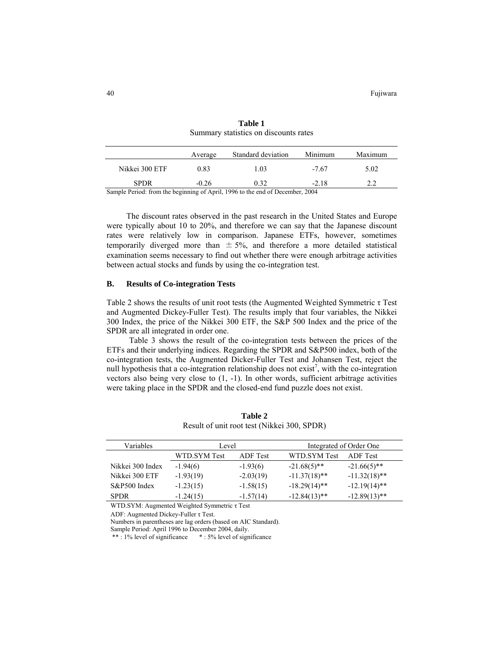|                | Average | Standard deviation | Minimum | Maximum |
|----------------|---------|--------------------|---------|---------|
| Nikkei 300 ETF | 0.83    | 1.03               | $-7.67$ | 5.02    |
| <b>SPDR</b>    | $-0.26$ | 0.32               | $-2.18$ |         |
|                |         |                    |         |         |

**Table 1**  Summary statistics on discounts rates

Sample Period: from the beginning of April, 1996 to the end of December, 2004

The discount rates observed in the past research in the United States and Europe were typically about 10 to 20%, and therefore we can say that the Japanese discount rates were relatively low in comparison. Japanese ETFs, however, sometimes temporarily diverged more than  $\pm$  5%, and therefore a more detailed statistical examination seems necessary to find out whether there were enough arbitrage activities between actual stocks and funds by using the co-integration test.

#### **B. Results of Co-integration Tests**

Table 2 shows the results of unit root tests (the Augmented Weighted Symmetric τ Test and Augmented Dickey-Fuller Test). The results imply that four variables, the Nikkei 300 Index, the price of the Nikkei 300 ETF, the S&P 500 Index and the price of the SPDR are all integrated in order one.

Table 3 shows the result of the co-integration tests between the prices of the ETFs and their underlying indices. Regarding the SPDR and S&P500 index, both of the co-integration tests, the Augmented Dicker-Fuller Test and Johansen Test, reject the null hypothesis that a co-integration relationship does not exist<sup>7</sup>, with the co-integration vectors also being very close to (1, -1). In other words, sufficient arbitrage activities were taking place in the SPDR and the closed-end fund puzzle does not exist.

| Variables        | Level        |             |                 | Integrated of Order One |  |  |
|------------------|--------------|-------------|-----------------|-------------------------|--|--|
|                  | WTD.SYM Test | ADF Test    | WTD.SYM Test    | <b>ADF</b> Test         |  |  |
| Nikkei 300 Index | $-1.94(6)$   | $-1.93(6)$  | $-21.68(5)$ **  | $-21.66(5)$ **          |  |  |
| Nikkei 300 ETF   | $-1.93(19)$  | $-2.03(19)$ | $-11.37(18)$ ** | $-11.32(18)$ **         |  |  |
| S&P500 Index     | $-1.23(15)$  | $-1.58(15)$ | $-18.29(14)$ ** | $-12.19(14)$ **         |  |  |
| <b>SPDR</b>      | $-1.24(15)$  | $-1.57(14)$ | $-12.84(13)$ ** | $-12.89(13)$ **         |  |  |

**Table 2**  Result of unit root test (Nikkei 300, SPDR)

WTD.SYM: Augmented Weighted Symmetric τ Test

ADF: Augmented Dickey-Fuller τ Test.

Numbers in parentheses are lag orders (based on AIC Standard).

Sample Period: April 1996 to December 2004, daily.

\*\* : 1% level of significance \* : 5% level of significance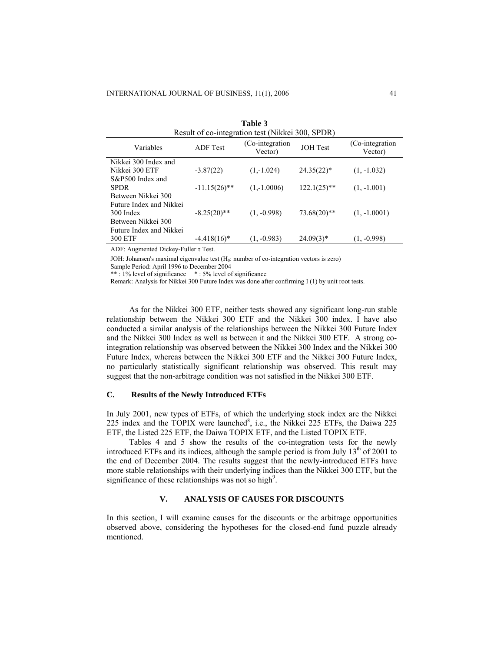| Table 3<br>Result of co-integration test (Nikkei 300, SPDR) |                 |                             |                 |                             |  |  |
|-------------------------------------------------------------|-----------------|-----------------------------|-----------------|-----------------------------|--|--|
| Variables                                                   | <b>ADF</b> Test | (Co-integration)<br>Vector) | <b>JOH</b> Test | (Co-integration)<br>Vector) |  |  |
| Nikkei 300 Index and                                        |                 |                             |                 |                             |  |  |
| Nikkei 300 ETF                                              | $-3.87(22)$     | $(1,-1.024)$                | $24.35(22)^*$   | $(1, -1.032)$               |  |  |
| S&P500 Index and                                            |                 |                             |                 |                             |  |  |
| <b>SPDR</b>                                                 | $-11.15(26)$ ** | $(1,-1.0006)$               | $122.1(25)$ **  | $(1, -1.001)$               |  |  |
| Between Nikkei 300                                          |                 |                             |                 |                             |  |  |
| Future Index and Nikkei                                     |                 |                             |                 |                             |  |  |
| 300 Index                                                   | $-8.25(20)$ **  | $(1, -0.998)$               | $73.68(20)$ **  | $(1, -1.0001)$              |  |  |
| Between Nikkei 300                                          |                 |                             |                 |                             |  |  |
| Future Index and Nikkei                                     |                 |                             |                 |                             |  |  |
| <b>300 ETF</b>                                              | $-4.418(16)$ *  | (1. -0.983)                 | $24.09(3)$ *    | (1. -0.998)                 |  |  |

ADF: Augmented Dickey-Fuller τ Test.

JOH: Johansen's maximal eigenvalue test  $(H_0:$  number of co-integration vectors is zero) Sample Period: April 1996 to December 2004

\*\* : 1% level of significance \* : 5% level of significance

Remark: Analysis for Nikkei 300 Future Index was done after confirming I (1) by unit root tests.

As for the Nikkei 300 ETF, neither tests showed any significant long-run stable relationship between the Nikkei 300 ETF and the Nikkei 300 index. I have also conducted a similar analysis of the relationships between the Nikkei 300 Future Index and the Nikkei 300 Index as well as between it and the Nikkei 300 ETF. A strong cointegration relationship was observed between the Nikkei 300 Index and the Nikkei 300 Future Index, whereas between the Nikkei 300 ETF and the Nikkei 300 Future Index, no particularly statistically significant relationship was observed. This result may suggest that the non-arbitrage condition was not satisfied in the Nikkei 300 ETF.

## **C. Results of the Newly Introduced ETFs**

In July 2001, new types of ETFs, of which the underlying stock index are the Nikkei 225 index and the TOPIX were launched<sup>8</sup>, i.e., the Nikkei 225 ETFs, the Daiwa 225 ETF, the Listed 225 ETF, the Daiwa TOPIX ETF, and the Listed TOPIX ETF.

Tables 4 and 5 show the results of the co-integration tests for the newly introduced ETFs and its indices, although the sample period is from July  $13<sup>th</sup>$  of 2001 to the end of December 2004. The results suggest that the newly-introduced ETFs have more stable relationships with their underlying indices than the Nikkei 300 ETF, but the significance of these relationships was not so high<sup>9</sup>.

## **V. ANALYSIS OF CAUSES FOR DISCOUNTS**

In this section, I will examine causes for the discounts or the arbitrage opportunities observed above, considering the hypotheses for the closed-end fund puzzle already mentioned.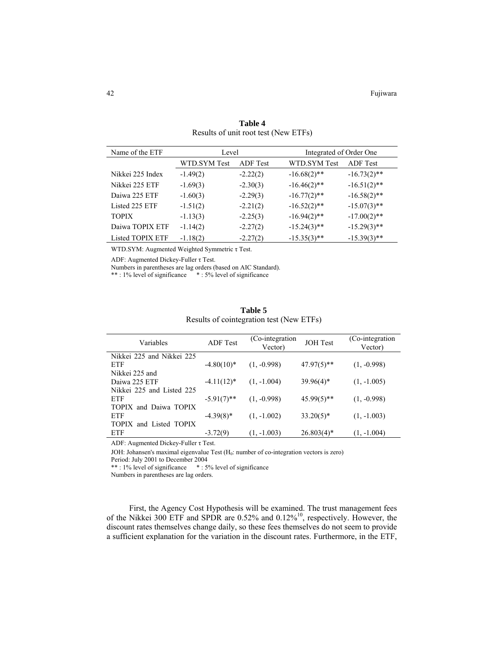| Name of the ETF         | Level        |                                 | Integrated of Order One |                 |  |
|-------------------------|--------------|---------------------------------|-------------------------|-----------------|--|
|                         | WTD.SYM Test | WTD.SYM Test<br><b>ADF</b> Test |                         | <b>ADF</b> Test |  |
| Nikkei 225 Index        | $-1.49(2)$   | $-2.22(2)$                      | $-16.68(2)$ **          | $-16.73(2)$ **  |  |
| Nikkei 225 ETF          | $-1.69(3)$   | $-2.30(3)$                      | $-16.46(2)$ **          | $-16.51(2)$ **  |  |
| Daiwa 225 ETF           | $-1.60(3)$   | $-2.29(3)$                      | $-16.77(2)$ **          | $-16.58(2)$ **  |  |
| Listed 225 ETF          | $-1.51(2)$   | $-2.21(2)$                      | $-16.52(2)$ **          | $-15.07(3)$ **  |  |
| <b>TOPIX</b>            | $-1.13(3)$   | $-2.25(3)$                      | $-16.94(2)$ **          | $-17.00(2)$ **  |  |
| Daiwa TOPIX ETF         | $-1.14(2)$   | $-2.27(2)$                      | $-15.24(3)$ **          | $-15.29(3)$ **  |  |
| <b>Listed TOPIX ETF</b> | $-1.18(2)$   | $-2.27(2)$                      | $-15.35(3)$ **          | $-15.39(3)$ **  |  |
|                         |              |                                 |                         |                 |  |

**Table 4**  Results of unit root test (New ETFs)

WTD.SYM: Augmented Weighted Symmetric τ Test.

ADF: Augmented Dickey-Fuller τ Test.

Numbers in parentheses are lag orders (based on AIC Standard).

\*\* : 1% level of significance \* : 5% level of significance

| Variables                 | <b>ADF</b> Test | (Co-integration)<br>Vector) | <b>JOH</b> Test | (Co-integration)<br>Vector) |
|---------------------------|-----------------|-----------------------------|-----------------|-----------------------------|
| Nikkei 225 and Nikkei 225 |                 |                             |                 |                             |
| ETF                       | $-4.80(10)*$    | $(1, -0.998)$               | $47.97(5)$ **   | $(1, -0.998)$               |
| Nikkei 225 and            |                 |                             |                 |                             |
| Daiwa 225 ETF             | $-4.11(12)^*$   | $(1, -1.004)$               | $39.96(4)$ *    | $(1, -1.005)$               |
| Nikkei 225 and Listed 225 |                 |                             |                 |                             |
| <b>ETF</b>                | $-5.91(7)$ **   | $(1, -0.998)$               | $45.99(5)$ **   | $(1, -0.998)$               |
| TOPIX and Daiwa TOPIX     |                 |                             |                 |                             |
| <b>ETF</b>                | $-4.39(8)$ *    | $(1, -1.002)$               | $33.20(5)$ *    | $(1, -1.003)$               |
| TOPIX and Listed TOPIX    |                 |                             |                 |                             |
| <b>ETF</b>                | $-3.72(9)$      | $(1, -1.003)$               | $26.803(4)$ *   | $(1, -1.004)$               |

**Table 5**  Results of cointegration test (New ETFs)

ADF: Augmented Dickey-Fuller τ Test.

JOH: Johansen's maximal eigenvalue Test (H<sub>0</sub>: number of co-integration vectors is zero)

Period: July 2001 to December 2004

\*\* : 1% level of significance \* : 5% level of significance

Numbers in parentheses are lag orders.

First, the Agency Cost Hypothesis will be examined. The trust management fees of the Nikkei 300 ETF and SPDR are  $0.52\%$  and  $0.12\%$ <sup>10</sup>, respectively. However, the discount rates themselves change daily, so these fees themselves do not seem to provide a sufficient explanation for the variation in the discount rates. Furthermore, in the ETF,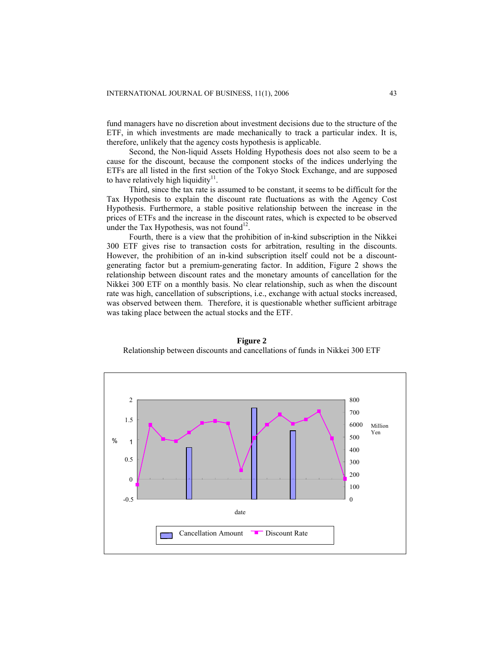fund managers have no discretion about investment decisions due to the structure of the ETF, in which investments are made mechanically to track a particular index. It is, therefore, unlikely that the agency costs hypothesis is applicable.

Second, the Non-liquid Assets Holding Hypothesis does not also seem to be a cause for the discount, because the component stocks of the indices underlying the ETFs are all listed in the first section of the Tokyo Stock Exchange, and are supposed to have relatively high liquidity<sup>11</sup>.

Third, since the tax rate is assumed to be constant, it seems to be difficult for the Tax Hypothesis to explain the discount rate fluctuations as with the Agency Cost Hypothesis. Furthermore, a stable positive relationship between the increase in the prices of ETFs and the increase in the discount rates, which is expected to be observed under the Tax Hypothesis, was not found<sup>12</sup>.

Fourth, there is a view that the prohibition of in-kind subscription in the Nikkei 300 ETF gives rise to transaction costs for arbitration, resulting in the discounts. However, the prohibition of an in-kind subscription itself could not be a discountgenerating factor but a premium-generating factor. In addition, Figure 2 shows the relationship between discount rates and the monetary amounts of cancellation for the Nikkei 300 ETF on a monthly basis. No clear relationship, such as when the discount rate was high, cancellation of subscriptions, i.e., exchange with actual stocks increased, was observed between them. Therefore, it is questionable whether sufficient arbitrage was taking place between the actual stocks and the ETF.



**Figure 2**  Relationship between discounts and cancellations of funds in Nikkei 300 ETF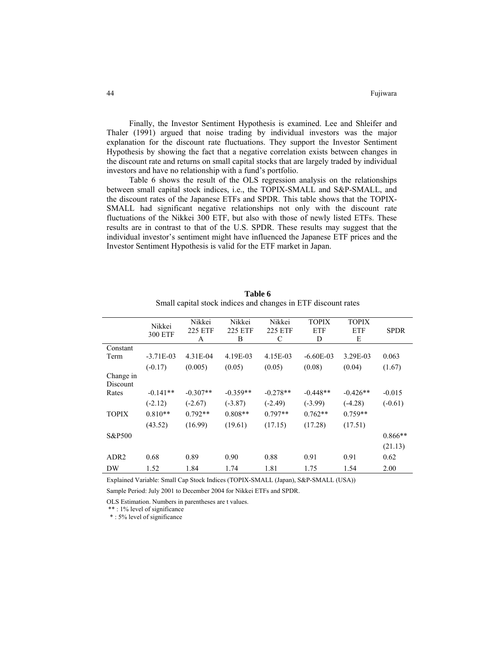Finally, the Investor Sentiment Hypothesis is examined. Lee and Shleifer and Thaler (1991) argued that noise trading by individual investors was the major explanation for the discount rate fluctuations. They support the Investor Sentiment Hypothesis by showing the fact that a negative correlation exists between changes in the discount rate and returns on small capital stocks that are largely traded by individual investors and have no relationship with a fund's portfolio.

Table 6 shows the result of the OLS regression analysis on the relationships between small capital stock indices, i.e., the TOPIX-SMALL and S&P-SMALL, and the discount rates of the Japanese ETFs and SPDR. This table shows that the TOPIX-SMALL had significant negative relationships not only with the discount rate fluctuations of the Nikkei 300 ETF, but also with those of newly listed ETFs. These results are in contrast to that of the U.S. SPDR. These results may suggest that the individual investor's sentiment might have influenced the Japanese ETF prices and the Investor Sentiment Hypothesis is valid for the ETF market in Japan.

|                  | Nikkei         | Nikkei         | Nikkei         | Nikkei         | <b>TOPIX</b> | <b>TOPIX</b> |             |
|------------------|----------------|----------------|----------------|----------------|--------------|--------------|-------------|
|                  | <b>300 ETF</b> | <b>225 ETF</b> | <b>225 ETF</b> | <b>225 ETF</b> | <b>ETF</b>   | <b>ETF</b>   | <b>SPDR</b> |
|                  |                | A              | B              | C              | D            | E            |             |
| Constant         |                |                |                |                |              |              |             |
| Term             | $-3.71E-03$    | 4.31E-04       | 4.19E-03       | 4.15E-03       | $-6.60E-03$  | 3.29E-03     | 0.063       |
|                  | $(-0.17)$      | (0.005)        | (0.05)         | (0.05)         | (0.08)       | (0.04)       | (1.67)      |
| Change in        |                |                |                |                |              |              |             |
| Discount         |                |                |                |                |              |              |             |
| Rates            | $-0.141**$     | $-0.307**$     | $-0.359**$     | $-0.278**$     | $-0.448**$   | $-0.426**$   | $-0.015$    |
|                  | $(-2.12)$      | $(-2.67)$      | $(-3.87)$      | $(-2.49)$      | $(-3.99)$    | $(-4.28)$    | $(-0.61)$   |
| <b>TOPIX</b>     | $0.810**$      | $0.792**$      | $0.808**$      | $0.797**$      | $0.762**$    | $0.759**$    |             |
|                  | (43.52)        | (16.99)        | (19.61)        | (17.15)        | (17.28)      | (17.51)      |             |
| S&P500           |                |                |                |                |              |              | $0.866**$   |
|                  |                |                |                |                |              |              | (21.13)     |
| ADR <sub>2</sub> | 0.68           | 0.89           | 0.90           | 0.88           | 0.91         | 0.91         | 0.62        |
| DW               | 1.52           | 1.84           | 1.74           | 1.81           | 1.75         | 1.54         | 2.00        |

**Table 6** Small capital stock indices and changes in ETF discount rates

Explained Variable: Small Cap Stock Indices (TOPIX-SMALL (Japan), S&P-SMALL (USA))

Sample Period: July 2001 to December 2004 for Nikkei ETFs and SPDR.

OLS Estimation. Numbers in parentheses are t values.

\*\* : 1% level of significance

\* : 5% level of significance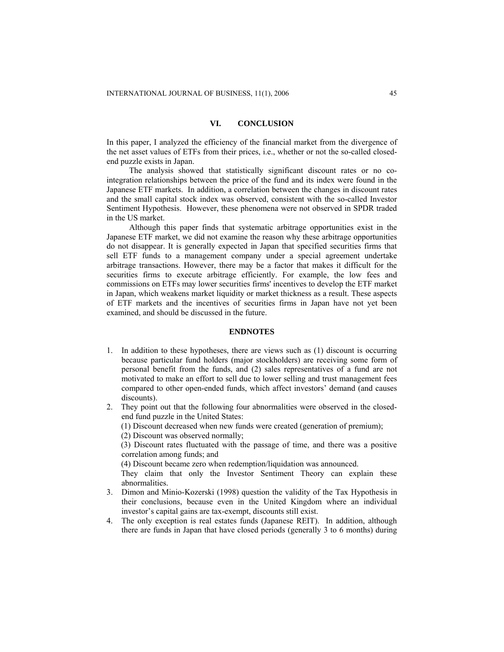## **VI. CONCLUSION**

In this paper, I analyzed the efficiency of the financial market from the divergence of the net asset values of ETFs from their prices, i.e., whether or not the so-called closedend puzzle exists in Japan.

The analysis showed that statistically significant discount rates or no cointegration relationships between the price of the fund and its index were found in the Japanese ETF markets. In addition, a correlation between the changes in discount rates and the small capital stock index was observed, consistent with the so-called Investor Sentiment Hypothesis. However, these phenomena were not observed in SPDR traded in the US market.

Although this paper finds that systematic arbitrage opportunities exist in the Japanese ETF market, we did not examine the reason why these arbitrage opportunities do not disappear. It is generally expected in Japan that specified securities firms that sell ETF funds to a management company under a special agreement undertake arbitrage transactions. However, there may be a factor that makes it difficult for the securities firms to execute arbitrage efficiently. For example, the low fees and commissions on ETFs may lower securities firms' incentives to develop the ETF market in Japan, which weakens market liquidity or market thickness as a result. These aspects of ETF markets and the incentives of securities firms in Japan have not yet been examined, and should be discussed in the future.

## **ENDNOTES**

- 1. In addition to these hypotheses, there are views such as (1) discount is occurring because particular fund holders (major stockholders) are receiving some form of personal benefit from the funds, and (2) sales representatives of a fund are not motivated to make an effort to sell due to lower selling and trust management fees compared to other open-ended funds, which affect investors' demand (and causes discounts).
- 2. They point out that the following four abnormalities were observed in the closedend fund puzzle in the United States:

(1) Discount decreased when new funds were created (generation of premium);

(2) Discount was observed normally;

 (3) Discount rates fluctuated with the passage of time, and there was a positive correlation among funds; and

(4) Discount became zero when redemption/liquidation was announced.

 They claim that only the Investor Sentiment Theory can explain these abnormalities.

- 3. Dimon and Minio-Kozerski (1998) question the validity of the Tax Hypothesis in their conclusions, because even in the United Kingdom where an individual investor's capital gains are tax-exempt, discounts still exist.
- 4. The only exception is real estates funds (Japanese REIT). In addition, although there are funds in Japan that have closed periods (generally 3 to 6 months) during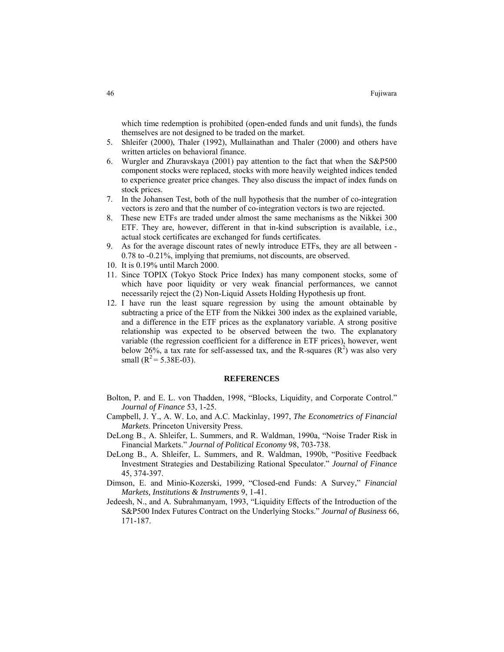which time redemption is prohibited (open-ended funds and unit funds), the funds themselves are not designed to be traded on the market.

- 5. Shleifer (2000), Thaler (1992), Mullainathan and Thaler (2000) and others have written articles on behavioral finance.
- 6. Wurgler and Zhuravskaya (2001) pay attention to the fact that when the S&P500 component stocks were replaced, stocks with more heavily weighted indices tended to experience greater price changes. They also discuss the impact of index funds on stock prices.
- 7. In the Johansen Test, both of the null hypothesis that the number of co-integration vectors is zero and that the number of co-integration vectors is two are rejected.
- 8. These new ETFs are traded under almost the same mechanisms as the Nikkei 300 ETF. They are, however, different in that in-kind subscription is available, i.e., actual stock certificates are exchanged for funds certificates.
- 9. As for the average discount rates of newly introduce ETFs, they are all between 0.78 to -0.21%, implying that premiums, not discounts, are observed.
- 10. It is 0.19% until March 2000.
- 11. Since TOPIX (Tokyo Stock Price Index) has many component stocks, some of which have poor liquidity or very weak financial performances, we cannot necessarily reject the (2) Non-Liquid Assets Holding Hypothesis up front.
- 12. I have run the least square regression by using the amount obtainable by subtracting a price of the ETF from the Nikkei 300 index as the explained variable, and a difference in the ETF prices as the explanatory variable. A strong positive relationship was expected to be observed between the two. The explanatory variable (the regression coefficient for a difference in ETF prices), however, went below 26%, a tax rate for self-assessed tax, and the R-squares  $(R^2)$  was also very small  $(R^2 = 5.38E-03)$ .

#### **REFERENCES**

- Bolton, P. and E. L. von Thadden, 1998, "Blocks, Liquidity, and Corporate Control." *Journal of Finance* 53, 1-25.
- Campbell, J. Y., A. W. Lo, and A.C. Mackinlay, 1997, *The Econometrics of Financial Markets*. Princeton University Press.
- DeLong B., A. Shleifer, L. Summers, and R. Waldman, 1990a, "Noise Trader Risk in Financial Markets." *Journal of Political Economy* 98, 703-738.
- DeLong B., A. Shleifer, L. Summers, and R. Waldman, 1990b, "Positive Feedback Investment Strategies and Destabilizing Rational Speculator." *Journal of Finance* 45, 374-397.
- Dimson, E. and Minio-Kozerski, 1999, "Closed-end Funds: A Survey," *Financial Markets, Institutions & Instruments* 9, 1-41.
- Jedeesh, N., and A. Subrahmanyam, 1993, "Liquidity Effects of the Introduction of the S&P500 Index Futures Contract on the Underlying Stocks." *Journal of Business* 66, 171-187.